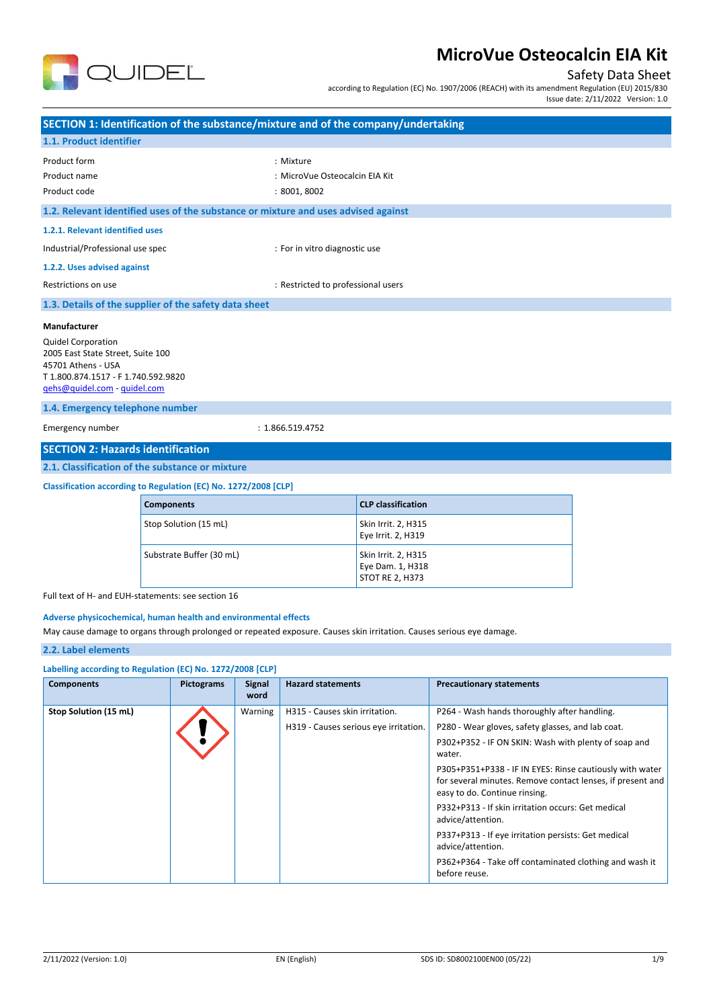

## Safety Data Sheet

according to Regulation (EC) No. 1907/2006 (REACH) with its amendment Regulation (EU) 2015/830

Issue date: 2/11/2022 Version: 1.0

| SECTION 1: Identification of the substance/mixture and of the company/undertaking                                                                                           |                                                                                    |                                    |                                           |  |  |  |
|-----------------------------------------------------------------------------------------------------------------------------------------------------------------------------|------------------------------------------------------------------------------------|------------------------------------|-------------------------------------------|--|--|--|
| 1.1. Product identifier                                                                                                                                                     |                                                                                    |                                    |                                           |  |  |  |
| Product form                                                                                                                                                                |                                                                                    | : Mixture                          |                                           |  |  |  |
| Product name                                                                                                                                                                |                                                                                    | : MicroVue Osteocalcin EIA Kit     |                                           |  |  |  |
| Product code                                                                                                                                                                |                                                                                    | :8001,8002                         |                                           |  |  |  |
|                                                                                                                                                                             | 1.2. Relevant identified uses of the substance or mixture and uses advised against |                                    |                                           |  |  |  |
| 1.2.1. Relevant identified uses                                                                                                                                             |                                                                                    |                                    |                                           |  |  |  |
| Industrial/Professional use spec                                                                                                                                            |                                                                                    | : For in vitro diagnostic use      |                                           |  |  |  |
| 1.2.2. Uses advised against                                                                                                                                                 |                                                                                    |                                    |                                           |  |  |  |
| Restrictions on use                                                                                                                                                         |                                                                                    | : Restricted to professional users |                                           |  |  |  |
|                                                                                                                                                                             | 1.3. Details of the supplier of the safety data sheet                              |                                    |                                           |  |  |  |
| Manufacturer<br><b>Quidel Corporation</b><br>2005 East State Street, Suite 100<br>45701 Athens - USA<br>T 1.800.874.1517 - F 1.740.592.9820<br>gehs@quidel.com - quidel.com |                                                                                    |                                    |                                           |  |  |  |
| 1.4. Emergency telephone number                                                                                                                                             |                                                                                    |                                    |                                           |  |  |  |
| Emergency number                                                                                                                                                            |                                                                                    | : 1.866.519.4752                   |                                           |  |  |  |
| <b>SECTION 2: Hazards identification</b>                                                                                                                                    |                                                                                    |                                    |                                           |  |  |  |
|                                                                                                                                                                             | 2.1. Classification of the substance or mixture                                    |                                    |                                           |  |  |  |
| Classification according to Regulation (EC) No. 1272/2008 [CLP]                                                                                                             |                                                                                    |                                    |                                           |  |  |  |
|                                                                                                                                                                             | <b>Components</b>                                                                  |                                    | <b>CLP</b> classification                 |  |  |  |
|                                                                                                                                                                             | Stop Solution (15 mL)                                                              |                                    | Skin Irrit. 2, H315<br>Eye Irrit. 2, H319 |  |  |  |
|                                                                                                                                                                             | Substrate Buffer (30 mL)                                                           |                                    | Skin Irrit. 2, H315<br>Eye Dam. 1, H318   |  |  |  |

Full text of H- and EUH-statements: see section 16

#### **Adverse physicochemical, human health and environmental effects**

May cause damage to organs through prolonged or repeated exposure. Causes skin irritation. Causes serious eye damage.

## **2.2. Label elements**

| Labelling according to Regulation (EC) No. 1272/2008 [CLP] |                   |                       |                                       |                                                                                                                                                         |  |
|------------------------------------------------------------|-------------------|-----------------------|---------------------------------------|---------------------------------------------------------------------------------------------------------------------------------------------------------|--|
| <b>Components</b>                                          | <b>Pictograms</b> | <b>Signal</b><br>word | <b>Hazard statements</b>              | <b>Precautionary statements</b>                                                                                                                         |  |
| Stop Solution (15 mL)                                      |                   | Warning               | H315 - Causes skin irritation.        | P264 - Wash hands thoroughly after handling.                                                                                                            |  |
|                                                            |                   |                       | H319 - Causes serious eye irritation. | P280 - Wear gloves, safety glasses, and lab coat.                                                                                                       |  |
|                                                            |                   |                       |                                       | P302+P352 - IF ON SKIN: Wash with plenty of soap and<br>water.                                                                                          |  |
|                                                            |                   |                       |                                       | P305+P351+P338 - IF IN EYES: Rinse cautiously with water<br>for several minutes. Remove contact lenses, if present and<br>easy to do. Continue rinsing. |  |
|                                                            |                   |                       |                                       | P332+P313 - If skin irritation occurs: Get medical<br>advice/attention.                                                                                 |  |
|                                                            |                   |                       |                                       | P337+P313 - If eye irritation persists: Get medical<br>advice/attention.                                                                                |  |
|                                                            |                   |                       |                                       | P362+P364 - Take off contaminated clothing and wash it<br>before reuse.                                                                                 |  |
|                                                            |                   |                       |                                       |                                                                                                                                                         |  |

STOT RE 2, H373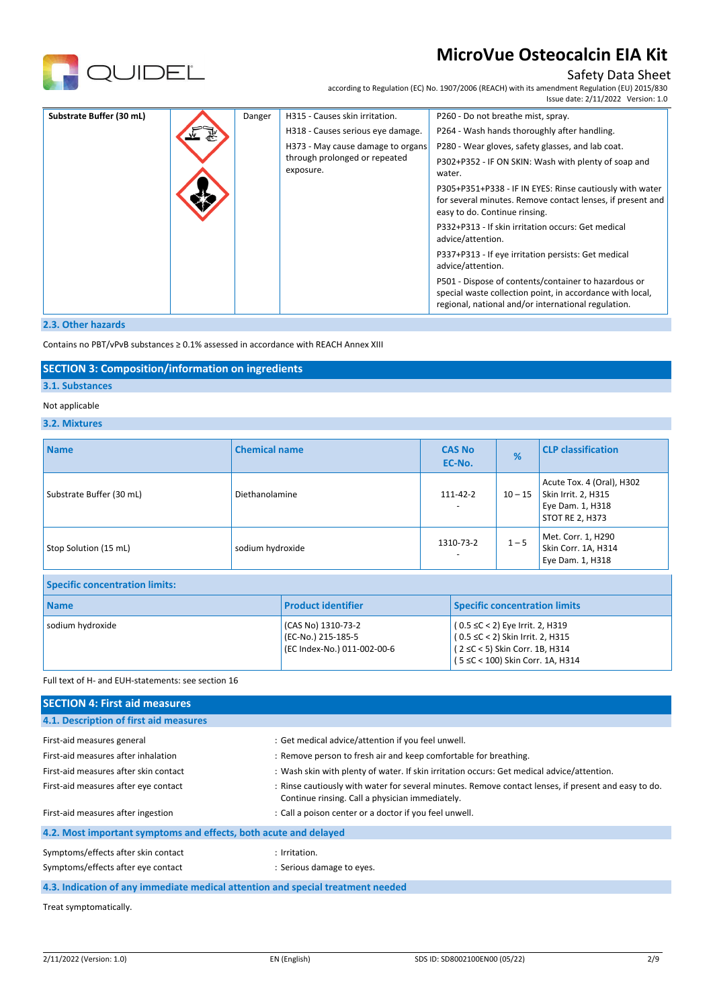

## Safety Data Sheet

according to Regulation (EC) No. 1907/2006 (REACH) with its amendment Regulation (EU) 2015/830 Issue date: 2/11/2022 Version: 1.0

| Substrate Buffer (30 mL) | Danger | H315 - Causes skin irritation.             | P260 - Do not breathe mist, spray.                                                                                                                                       |
|--------------------------|--------|--------------------------------------------|--------------------------------------------------------------------------------------------------------------------------------------------------------------------------|
|                          |        | H318 - Causes serious eye damage.          | P264 - Wash hands thoroughly after handling.                                                                                                                             |
|                          |        | H373 - May cause damage to organs          | P280 - Wear gloves, safety glasses, and lab coat.                                                                                                                        |
|                          |        | through prolonged or repeated<br>exposure. | P302+P352 - IF ON SKIN: Wash with plenty of soap and<br>water.                                                                                                           |
|                          |        |                                            | P305+P351+P338 - IF IN EYES: Rinse cautiously with water<br>for several minutes. Remove contact lenses, if present and<br>easy to do. Continue rinsing.                  |
|                          |        |                                            | P332+P313 - If skin irritation occurs: Get medical<br>advice/attention.                                                                                                  |
|                          |        |                                            | P337+P313 - If eye irritation persists: Get medical<br>advice/attention.                                                                                                 |
|                          |        |                                            | P501 - Dispose of contents/container to hazardous or<br>special waste collection point, in accordance with local,<br>regional, national and/or international regulation. |

#### **2.3. Other hazards**

Contains no PBT/vPvB substances ≥ 0.1% assessed in accordance with REACH Annex XIII

#### **SECTION 3: Composition/information on ingredients**

#### **3.1. Substances**

#### Not applicable

#### **3.2. Mixtures**

| <b>Name</b>              | <b>Chemical name</b> | <b>CAS No</b><br>EC-No. | %         | <b>CLP classification</b>                                                                      |
|--------------------------|----------------------|-------------------------|-----------|------------------------------------------------------------------------------------------------|
| Substrate Buffer (30 mL) | Diethanolamine       | 111-42-2                | $10 - 15$ | Acute Tox. 4 (Oral), H302<br>Skin Irrit. 2, H315<br>Eye Dam. 1, H318<br><b>STOT RE 2, H373</b> |
| Stop Solution (15 mL)    | sodium hydroxide     | 1310-73-2               | $1 - 5$   | Met. Corr. 1, H290<br>Skin Corr. 1A, H314<br>Eye Dam. 1, H318                                  |

## **Specific concentration limits:**

| <b>Name</b>      | <b>Product identifier</b>                                               | <b>Specific concentration limits</b>                                                                                                                        |
|------------------|-------------------------------------------------------------------------|-------------------------------------------------------------------------------------------------------------------------------------------------------------|
| sodium hydroxide | (CAS No) 1310-73-2<br>(EC-No.) 215-185-5<br>(EC Index-No.) 011-002-00-6 | $(0.5 \leq C < 2)$ Eye Irrit. 2, H319<br>$(0.5 \leq C < 2)$ Skin Irrit. 2, H315<br>$(2 \leq C < 5)$ Skin Corr. 1B, H314<br>(5 ≤C < 100) Skin Corr. 1A, H314 |

#### Full text of H- and EUH-statements: see section 16

| <b>SECTION 4: First aid measures</b>                                            |                                                                                                                                                         |
|---------------------------------------------------------------------------------|---------------------------------------------------------------------------------------------------------------------------------------------------------|
| 4.1. Description of first aid measures                                          |                                                                                                                                                         |
| First-aid measures general                                                      | : Get medical advice/attention if you feel unwell.                                                                                                      |
| First-aid measures after inhalation                                             | : Remove person to fresh air and keep comfortable for breathing.                                                                                        |
| First-aid measures after skin contact                                           | : Wash skin with plenty of water. If skin irritation occurs: Get medical advice/attention.                                                              |
| First-aid measures after eye contact                                            | : Rinse cautiously with water for several minutes. Remove contact lenses, if present and easy to do.<br>Continue rinsing. Call a physician immediately. |
| First-aid measures after ingestion                                              | : Call a poison center or a doctor if you feel unwell.                                                                                                  |
| 4.2. Most important symptoms and effects, both acute and delayed                |                                                                                                                                                         |
| Symptoms/effects after skin contact                                             | : Irritation.                                                                                                                                           |
| Symptoms/effects after eye contact                                              | : Serious damage to eyes.                                                                                                                               |
| 4.3. Indication of any immediate medical attention and special treatment needed |                                                                                                                                                         |

Treat symptomatically.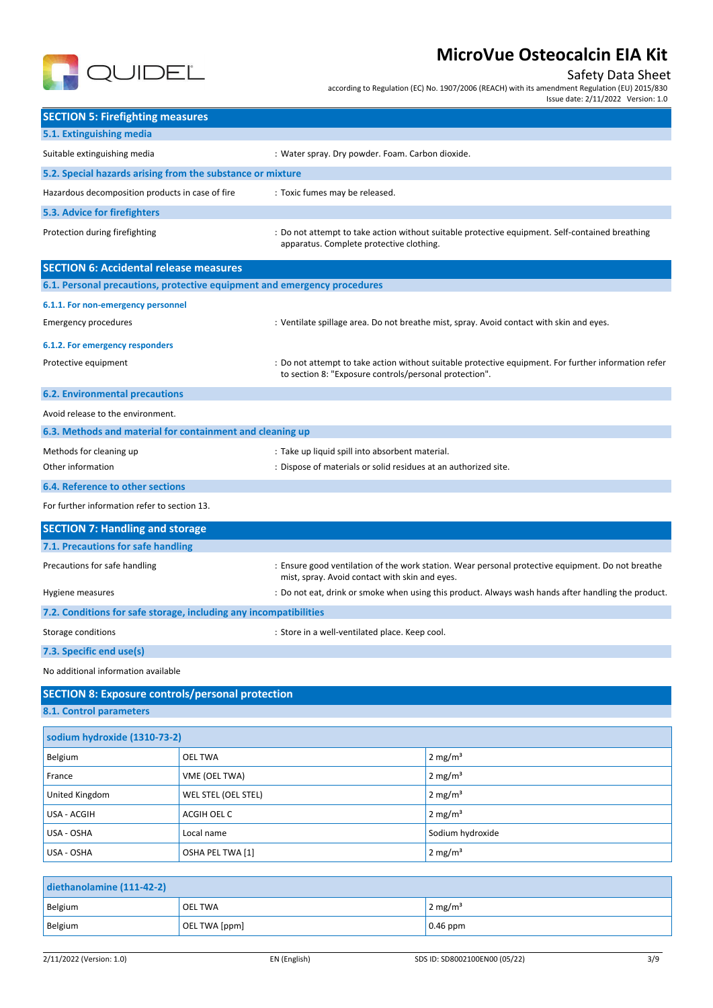

## Safety Data Sheet

according to Regulation (EC) No. 1907/2006 (REACH) with its amendment Regulation (EU) 2015/830

Issue date: 2/11/2022 Version: 1.0

| <b>SECTION 5: Firefighting measures</b>                                    |                     |                                                                 |                                                                                                      |
|----------------------------------------------------------------------------|---------------------|-----------------------------------------------------------------|------------------------------------------------------------------------------------------------------|
| 5.1. Extinguishing media                                                   |                     |                                                                 |                                                                                                      |
| Suitable extinguishing media                                               |                     | : Water spray. Dry powder. Foam. Carbon dioxide.                |                                                                                                      |
| 5.2. Special hazards arising from the substance or mixture                 |                     |                                                                 |                                                                                                      |
| Hazardous decomposition products in case of fire                           |                     | : Toxic fumes may be released.                                  |                                                                                                      |
| 5.3. Advice for firefighters                                               |                     |                                                                 |                                                                                                      |
| Protection during firefighting                                             |                     | apparatus. Complete protective clothing.                        | : Do not attempt to take action without suitable protective equipment. Self-contained breathing      |
| <b>SECTION 6: Accidental release measures</b>                              |                     |                                                                 |                                                                                                      |
| 6.1. Personal precautions, protective equipment and emergency procedures   |                     |                                                                 |                                                                                                      |
| 6.1.1. For non-emergency personnel                                         |                     |                                                                 |                                                                                                      |
| <b>Emergency procedures</b>                                                |                     |                                                                 | : Ventilate spillage area. Do not breathe mist, spray. Avoid contact with skin and eyes.             |
| 6.1.2. For emergency responders                                            |                     |                                                                 |                                                                                                      |
| Protective equipment                                                       |                     | to section 8: "Exposure controls/personal protection".          | : Do not attempt to take action without suitable protective equipment. For further information refer |
| <b>6.2. Environmental precautions</b>                                      |                     |                                                                 |                                                                                                      |
| Avoid release to the environment.                                          |                     |                                                                 |                                                                                                      |
| 6.3. Methods and material for containment and cleaning up                  |                     |                                                                 |                                                                                                      |
| Methods for cleaning up<br>: Take up liquid spill into absorbent material. |                     |                                                                 |                                                                                                      |
| Other information                                                          |                     | : Dispose of materials or solid residues at an authorized site. |                                                                                                      |
| <b>6.4. Reference to other sections</b>                                    |                     |                                                                 |                                                                                                      |
| For further information refer to section 13.                               |                     |                                                                 |                                                                                                      |
| <b>SECTION 7: Handling and storage</b>                                     |                     |                                                                 |                                                                                                      |
| 7.1. Precautions for safe handling                                         |                     |                                                                 |                                                                                                      |
| Precautions for safe handling                                              |                     | mist, spray. Avoid contact with skin and eyes.                  | : Ensure good ventilation of the work station. Wear personal protective equipment. Do not breathe    |
| Hygiene measures                                                           |                     |                                                                 | : Do not eat, drink or smoke when using this product. Always wash hands after handling the product.  |
| 7.2. Conditions for safe storage, including any incompatibilities          |                     |                                                                 |                                                                                                      |
| Storage conditions                                                         |                     | : Store in a well-ventilated place. Keep cool.                  |                                                                                                      |
| 7.3. Specific end use(s)                                                   |                     |                                                                 |                                                                                                      |
| No additional information available                                        |                     |                                                                 |                                                                                                      |
| <b>SECTION 8: Exposure controls/personal protection</b>                    |                     |                                                                 |                                                                                                      |
| 8.1. Control parameters                                                    |                     |                                                                 |                                                                                                      |
| sodium hydroxide (1310-73-2)                                               |                     |                                                                 |                                                                                                      |
| Belgium                                                                    | <b>OEL TWA</b>      |                                                                 | $2 \text{ mg/m}^3$                                                                                   |
| France                                                                     | VME (OEL TWA)       |                                                                 | 2 mg/m <sup>3</sup>                                                                                  |
| United Kingdom                                                             | WEL STEL (OEL STEL) |                                                                 | 2 mg/ $m3$                                                                                           |
| USA - ACGIH                                                                | ACGIH OEL C         |                                                                 | 2 mg/ $m3$                                                                                           |
| USA - OSHA                                                                 | Local name          |                                                                 | Sodium hydroxide                                                                                     |
| USA - OSHA                                                                 | OSHA PEL TWA [1]    |                                                                 | 2 mg/m <sup>3</sup>                                                                                  |
|                                                                            |                     |                                                                 |                                                                                                      |
| diethanolamine (111-42-2)                                                  |                     |                                                                 |                                                                                                      |

| $ $ diethanolamine $(111-42-2)$ |                |                     |  |  |
|---------------------------------|----------------|---------------------|--|--|
| Belgium                         | <b>OEL TWA</b> | 2 mg/m <sup>3</sup> |  |  |
| Belgium                         | OEL TWA [ppm]  | $0.46$ ppm          |  |  |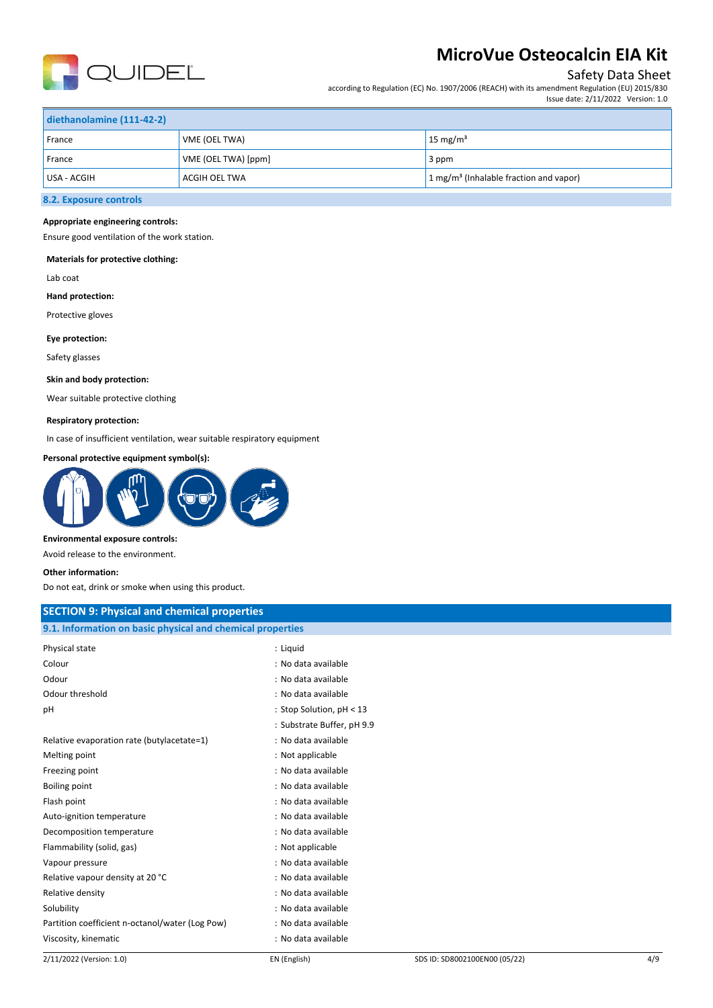

## Safety Data Sheet

according to Regulation (EC) No. 1907/2006 (REACH) with its amendment Regulation (EU) 2015/830 Issue date: 2/11/2022 Version: 1.0

| diethanolamine (111-42-2) |                      |                                                                |  |  |
|---------------------------|----------------------|----------------------------------------------------------------|--|--|
| France                    | VME (OEL TWA)        | 15 mg/m <sup>3</sup>                                           |  |  |
| France                    | VME (OEL TWA) [ppm]  | 3 ppm                                                          |  |  |
| USA - ACGIH               | <b>ACGIH OEL TWA</b> | $\frac{1}{2}$ mg/m <sup>3</sup> (Inhalable fraction and vapor) |  |  |
|                           |                      |                                                                |  |  |

## **8.2. Exposure controls**

#### **Appropriate engineering controls:**

Ensure good ventilation of the work station.

#### **Materials for protective clothing:**

Lab coat

#### **Hand protection:**

Protective gloves

#### **Eye protection:**

Safety glasses

#### **Skin and body protection:**

Wear suitable protective clothing

#### **Respiratory protection:**

In case of insufficient ventilation, wear suitable respiratory equipment

#### **Personal protective equipment symbol(s):**



#### **Environmental exposure controls:**

Avoid release to the environment.

#### **Other information:**

Do not eat, drink or smoke when using this product.

| <b>SECTION 9: Physical and chemical properties</b>         |                            |
|------------------------------------------------------------|----------------------------|
| 9.1. Information on basic physical and chemical properties |                            |
| Physical state                                             | : Liquid                   |
| Colour                                                     | : No data available        |
| Odour                                                      | : No data available        |
| Odour threshold                                            | : No data available        |
| pH                                                         | : Stop Solution, pH < 13   |
|                                                            | : Substrate Buffer, pH 9.9 |
| Relative evaporation rate (butylacetate=1)                 | : No data available        |
| Melting point                                              | : Not applicable           |
| Freezing point                                             | : No data available        |
| Boiling point                                              | : No data available        |
| Flash point                                                | : No data available        |
| Auto-ignition temperature                                  | : No data available        |
| Decomposition temperature                                  | : No data available        |
| Flammability (solid, gas)                                  | : Not applicable           |
| Vapour pressure                                            | : No data available        |
| Relative vapour density at 20 °C                           | : No data available        |
| Relative density                                           | : No data available        |
| Solubility                                                 | : No data available        |
| Partition coefficient n-octanol/water (Log Pow)            | : No data available        |
| Viscosity, kinematic                                       | : No data available        |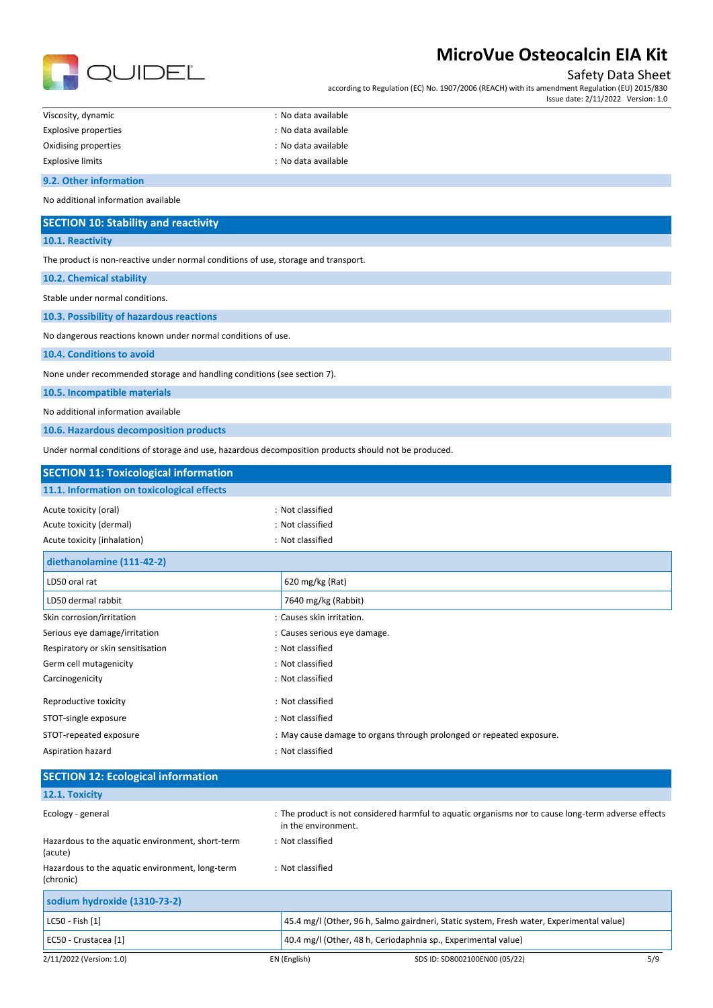

## Safety Data Sheet

according to Regulation (EC) No. 1907/2006 (REACH) with its amendment Regulation (EU) 2015/830 Issue date: 2/11/2022 Version: 1.0

| Viscosity, dynamic      | : No data available |
|-------------------------|---------------------|
| Explosive properties    | : No data available |
| Oxidising properties    | : No data available |
| <b>Explosive limits</b> | : No data available |

#### **9.2. Other information**

No additional information available

| <b>SECTION 10: Stability and reactivity</b> |  |
|---------------------------------------------|--|
|---------------------------------------------|--|

**10.1. Reactivity**

The product is non-reactive under normal conditions of use, storage and transport.

**10.2. Chemical stability**

Stable under normal conditions.

**10.3. Possibility of hazardous reactions**

No dangerous reactions known under normal conditions of use.

**10.4. Conditions to avoid**

None under recommended storage and handling conditions (see section 7).

**10.5. Incompatible materials**

No additional information available

**10.6. Hazardous decomposition products**

Under normal conditions of storage and use, hazardous decomposition products should not be produced.

| <b>SECTION 11: Toxicological information</b> |                                                                      |  |
|----------------------------------------------|----------------------------------------------------------------------|--|
| 11.1. Information on toxicological effects   |                                                                      |  |
| Acute toxicity (oral)                        | : Not classified                                                     |  |
| Acute toxicity (dermal)                      | : Not classified                                                     |  |
| Acute toxicity (inhalation)                  | : Not classified                                                     |  |
| diethanolamine (111-42-2)                    |                                                                      |  |
| LD50 oral rat                                | 620 mg/kg (Rat)                                                      |  |
| LD50 dermal rabbit                           | 7640 mg/kg (Rabbit)                                                  |  |
| Skin corrosion/irritation                    | : Causes skin irritation.                                            |  |
| Serious eye damage/irritation                | : Causes serious eye damage.                                         |  |
| Respiratory or skin sensitisation            | : Not classified                                                     |  |
| Germ cell mutagenicity                       | : Not classified                                                     |  |
| Carcinogenicity                              | : Not classified                                                     |  |
| Reproductive toxicity                        | : Not classified                                                     |  |
| STOT-single exposure                         | : Not classified                                                     |  |
| STOT-repeated exposure                       | : May cause damage to organs through prolonged or repeated exposure. |  |
| Aspiration hazard                            | : Not classified                                                     |  |
| <b>SECTION 12: Ecological information</b>    |                                                                      |  |

| 12.1. Toxicity                                               |                                                                                                                            |     |
|--------------------------------------------------------------|----------------------------------------------------------------------------------------------------------------------------|-----|
| Ecology - general                                            | : The product is not considered harmful to aquatic organisms nor to cause long-term adverse effects<br>in the environment. |     |
| Hazardous to the aquatic environment, short-term<br>(acute)  | : Not classified                                                                                                           |     |
| Hazardous to the aquatic environment, long-term<br>(chronic) | : Not classified                                                                                                           |     |
| sodium hydroxide (1310-73-2)                                 |                                                                                                                            |     |
| LC50 - Fish [1]                                              | 45.4 mg/l (Other, 96 h, Salmo gairdneri, Static system, Fresh water, Experimental value)                                   |     |
| EC50 - Crustacea [1]                                         | 40.4 mg/l (Other, 48 h, Ceriodaphnia sp., Experimental value)                                                              |     |
| 2/11/2022 (Version: 1.0)                                     | EN (English)<br>SDS ID: SD8002100EN00 (05/22)                                                                              | 5/9 |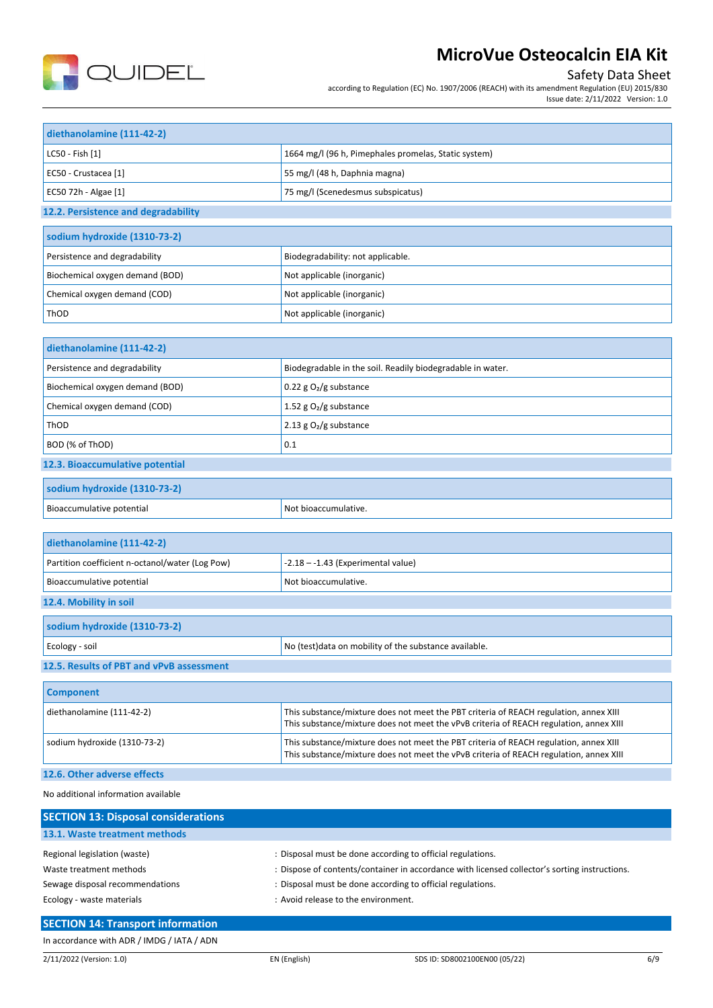

## Safety Data Sheet

according to Regulation (EC) No. 1907/2006 (REACH) with its amendment Regulation (EU) 2015/830 Issue date: 2/11/2022 Version: 1.0

| diethanolamine (111-42-2)                       |                                                                                                                                                                                 |
|-------------------------------------------------|---------------------------------------------------------------------------------------------------------------------------------------------------------------------------------|
| LC50 - Fish [1]                                 | 1664 mg/l (96 h, Pimephales promelas, Static system)                                                                                                                            |
| EC50 - Crustacea [1]                            | 55 mg/l (48 h, Daphnia magna)                                                                                                                                                   |
| EC50 72h - Algae [1]                            | 75 mg/l (Scenedesmus subspicatus)                                                                                                                                               |
| 12.2. Persistence and degradability             |                                                                                                                                                                                 |
| sodium hydroxide (1310-73-2)                    |                                                                                                                                                                                 |
| Persistence and degradability                   | Biodegradability: not applicable.                                                                                                                                               |
| Biochemical oxygen demand (BOD)                 | Not applicable (inorganic)                                                                                                                                                      |
| Chemical oxygen demand (COD)                    | Not applicable (inorganic)                                                                                                                                                      |
| ThOD                                            | Not applicable (inorganic)                                                                                                                                                      |
|                                                 |                                                                                                                                                                                 |
| diethanolamine (111-42-2)                       |                                                                                                                                                                                 |
| Persistence and degradability                   | Biodegradable in the soil. Readily biodegradable in water.                                                                                                                      |
| Biochemical oxygen demand (BOD)                 | 0.22 g $O2/g$ substance                                                                                                                                                         |
| Chemical oxygen demand (COD)                    | 1.52 g $O_2/g$ substance                                                                                                                                                        |
| ThOD                                            | 2.13 $g O2/g$ substance                                                                                                                                                         |
| BOD (% of ThOD)                                 | 0.1                                                                                                                                                                             |
| 12.3. Bioaccumulative potential                 |                                                                                                                                                                                 |
| sodium hydroxide (1310-73-2)                    |                                                                                                                                                                                 |
| Bioaccumulative potential                       | Not bioaccumulative.                                                                                                                                                            |
|                                                 |                                                                                                                                                                                 |
| diethanolamine (111-42-2)                       |                                                                                                                                                                                 |
| Partition coefficient n-octanol/water (Log Pow) | $-2.18 - -1.43$ (Experimental value)                                                                                                                                            |
| Bioaccumulative potential                       | Not bioaccumulative.                                                                                                                                                            |
| 12.4. Mobility in soil                          |                                                                                                                                                                                 |
| sodium hydroxide (1310-73-2)                    |                                                                                                                                                                                 |
| Ecology - soil                                  | No (test)data on mobility of the substance available.                                                                                                                           |
| 12.5. Results of PBT and vPvB assessment        |                                                                                                                                                                                 |
| <b>Component</b>                                |                                                                                                                                                                                 |
| diethanolamine (111-42-2)                       | This substance/mixture does not meet the PBT criteria of REACH regulation, annex XIII<br>This substance/mixture does not meet the vPvB criteria of REACH regulation, annex XIII |
| sodium hydroxide (1310-73-2)                    | This substance/mixture does not meet the PBT criteria of REACH regulation, annex XIII<br>This substance/mixture does not meet the vPvB criteria of REACH regulation, annex XIII |
| 12.6. Other adverse effects                     |                                                                                                                                                                                 |
| No additional information available             |                                                                                                                                                                                 |
| <b>SECTION 13: Disposal considerations</b>      |                                                                                                                                                                                 |
|                                                 |                                                                                                                                                                                 |

| 13.1. Waste treatment methods   |                                                                                               |
|---------------------------------|-----------------------------------------------------------------------------------------------|
| Regional legislation (waste)    | : Disposal must be done according to official regulations.                                    |
| Waste treatment methods         | : Dispose of contents/container in accordance with licensed collector's sorting instructions. |
| Sewage disposal recommendations | : Disposal must be done according to official regulations.                                    |
| Ecology - waste materials       | : Avoid release to the environment.                                                           |
| ----------                      |                                                                                               |

### **SECTION 14: Transport information** In accordance with ADR / IMDG / IATA / ADN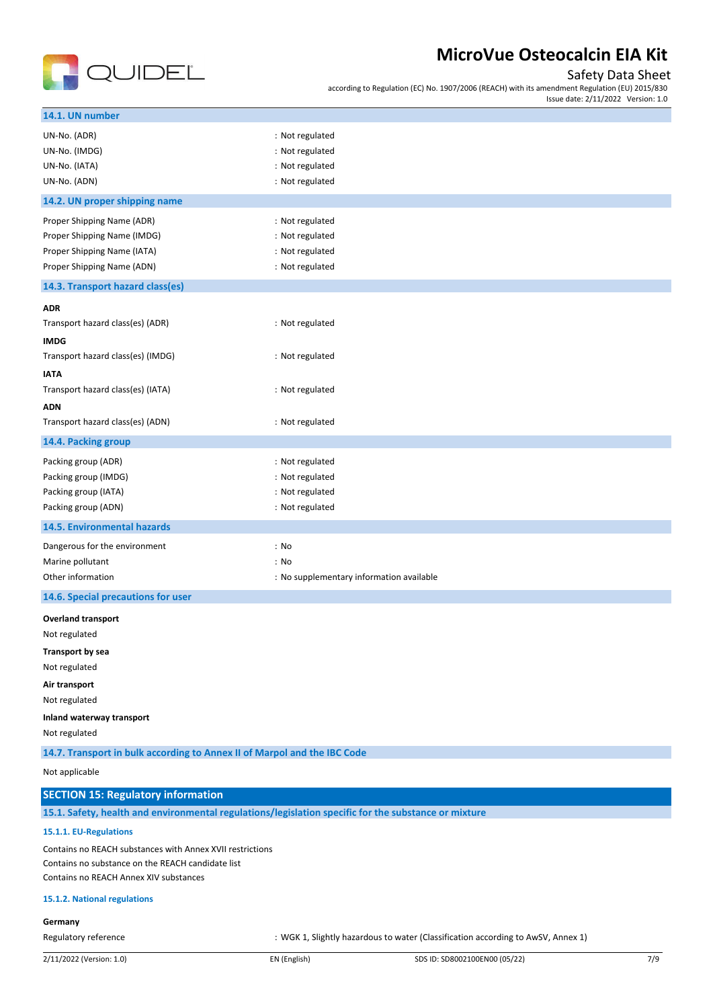

## Safety Data Sheet

according to Regulation (EC) No. 1907/2006 (REACH) with its amendment Regulation (EU) 2015/830 Issue date: 2/11/2022 Version: 1.0

| 14.1. UN number                                                                                      |                                                                                  |
|------------------------------------------------------------------------------------------------------|----------------------------------------------------------------------------------|
| UN-No. (ADR)                                                                                         | : Not regulated                                                                  |
| UN-No. (IMDG)                                                                                        | : Not regulated                                                                  |
| UN-No. (IATA)                                                                                        | : Not regulated                                                                  |
| UN-No. (ADN)                                                                                         | : Not regulated                                                                  |
| 14.2. UN proper shipping name                                                                        |                                                                                  |
| Proper Shipping Name (ADR)                                                                           | : Not regulated                                                                  |
| Proper Shipping Name (IMDG)                                                                          | : Not regulated                                                                  |
| Proper Shipping Name (IATA)                                                                          | : Not regulated                                                                  |
| Proper Shipping Name (ADN)                                                                           | : Not regulated                                                                  |
| 14.3. Transport hazard class(es)                                                                     |                                                                                  |
| <b>ADR</b>                                                                                           |                                                                                  |
| Transport hazard class(es) (ADR)                                                                     | : Not regulated                                                                  |
| <b>IMDG</b>                                                                                          |                                                                                  |
| Transport hazard class(es) (IMDG)                                                                    | : Not regulated                                                                  |
| <b>IATA</b>                                                                                          |                                                                                  |
| Transport hazard class(es) (IATA)                                                                    | : Not regulated                                                                  |
| <b>ADN</b>                                                                                           |                                                                                  |
| Transport hazard class(es) (ADN)                                                                     | : Not regulated                                                                  |
| 14.4. Packing group                                                                                  |                                                                                  |
| Packing group (ADR)                                                                                  | : Not regulated                                                                  |
| Packing group (IMDG)                                                                                 | : Not regulated                                                                  |
| Packing group (IATA)                                                                                 | : Not regulated                                                                  |
| Packing group (ADN)                                                                                  | : Not regulated                                                                  |
| 14.5. Environmental hazards                                                                          |                                                                                  |
| Dangerous for the environment                                                                        | : No                                                                             |
| Marine pollutant                                                                                     | : No                                                                             |
| Other information                                                                                    | : No supplementary information available                                         |
| 14.6. Special precautions for user                                                                   |                                                                                  |
| <b>Overland transport</b>                                                                            |                                                                                  |
| Not regulated                                                                                        |                                                                                  |
| <b>Transport by sea</b>                                                                              |                                                                                  |
| Not regulated                                                                                        |                                                                                  |
| Air transport                                                                                        |                                                                                  |
| Not regulated                                                                                        |                                                                                  |
| Inland waterway transport                                                                            |                                                                                  |
| Not regulated                                                                                        |                                                                                  |
| 14.7. Transport in bulk according to Annex II of Marpol and the IBC Code                             |                                                                                  |
| Not applicable                                                                                       |                                                                                  |
| <b>SECTION 15: Regulatory information</b>                                                            |                                                                                  |
| 15.1. Safety, health and environmental regulations/legislation specific for the substance or mixture |                                                                                  |
| 15.1.1. EU-Regulations                                                                               |                                                                                  |
| Contains no REACH substances with Annex XVII restrictions                                            |                                                                                  |
| Contains no substance on the REACH candidate list                                                    |                                                                                  |
| Contains no REACH Annex XIV substances                                                               |                                                                                  |
| 15.1.2. National regulations                                                                         |                                                                                  |
| Germany                                                                                              |                                                                                  |
| Regulatory reference                                                                                 | : WGK 1, Slightly hazardous to water (Classification according to AwSV, Annex 1) |
|                                                                                                      |                                                                                  |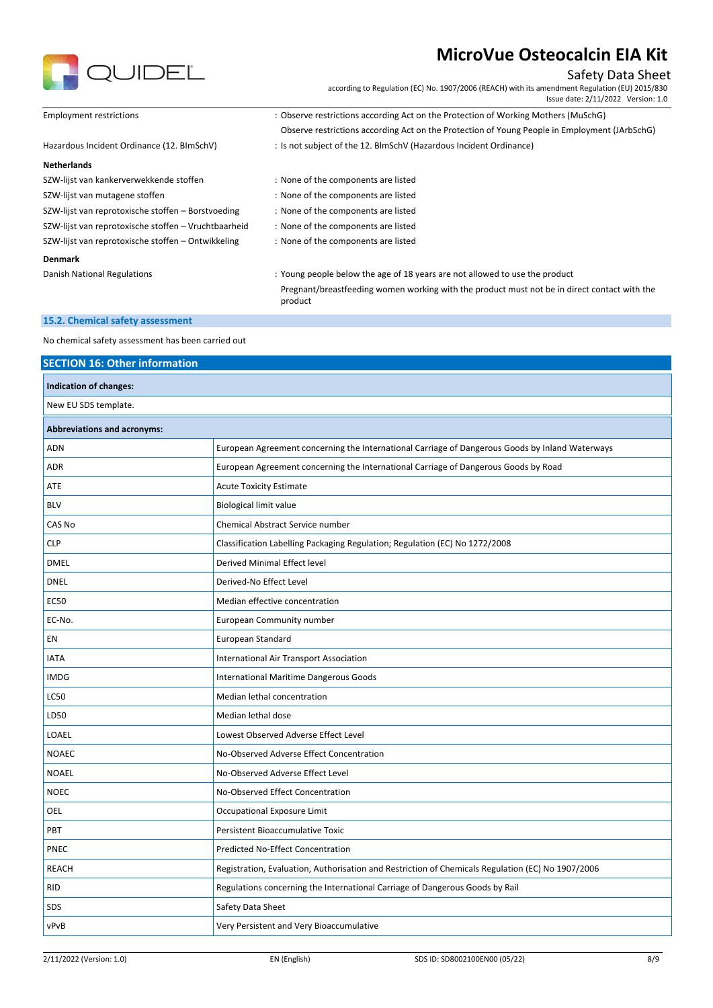

## Safety Data Sheet

according to Regulation (EC) No. 1907/2006 (REACH) with its amendment Regulation (EU) 2015/830 Issue date: 2/11/2022 Version: 1.0

| <b>Employment restrictions</b>                       | : Observe restrictions according Act on the Protection of Working Mothers (MuSchG)                      |
|------------------------------------------------------|---------------------------------------------------------------------------------------------------------|
|                                                      | Observe restrictions according Act on the Protection of Young People in Employment (JArbSchG)           |
| Hazardous Incident Ordinance (12. BImSchV)           | : Is not subject of the 12. BlmSchV (Hazardous Incident Ordinance)                                      |
| <b>Netherlands</b>                                   |                                                                                                         |
| SZW-lijst van kankerverwekkende stoffen              | : None of the components are listed                                                                     |
| SZW-lijst van mutagene stoffen                       | : None of the components are listed                                                                     |
| SZW-lijst van reprotoxische stoffen - Borstvoeding   | : None of the components are listed                                                                     |
| SZW-lijst van reprotoxische stoffen - Vruchtbaarheid | : None of the components are listed                                                                     |
| SZW-lijst van reprotoxische stoffen - Ontwikkeling   | : None of the components are listed                                                                     |
| <b>Denmark</b>                                       |                                                                                                         |
| Danish National Regulations                          | : Young people below the age of 18 years are not allowed to use the product                             |
|                                                      | Pregnant/breastfeeding women working with the product must not be in direct contact with the<br>product |

#### **15.2. Chemical safety assessment**

No chemical safety assessment has been carried out

## **SECTION 16: Other information Indication of changes:** New EU SDS template. **Abbreviations and acronyms:** ADN European Agreement concerning the International Carriage of Dangerous Goods by Inland Waterways ADR European Agreement concerning the International Carriage of Dangerous Goods by Road ATE ACUTE Acute Toxicity Estimate BLV BIOLOGICAL BIOLOGICAL BIOLOGICAL BIOLOGICAL BIOLOGICAL BIOLOGICAL BIOLOGICAL BIOLOGICAL BIOLOGICAL BIOLOGICAL BIOLOGICAL BIOLOGICAL BIOLOGICAL BIOLOGICAL BIOLOGICAL BIOLOGICAL BIOLOGICAL BIOLOGICAL BIOLOGICAL BIOLOGICA CAS No Chemical Abstract Service number CLP Classification Labelling Packaging Regulation; Regulation (EC) No 1272/2008 DMEL Derived Minimal Effect level DNEL Derived-No Effect Level EC50 Median effective concentration EC-No. European Community number EN European Standard IATA International Air Transport Association IMDG **IMDG IMDG IMDG IMDG** LC50 Median lethal concentration LD50 Median lethal dose LOAEL Lowest Observed Adverse Effect Level NOAEC NOAEC No-Observed Adverse Effect Concentration NOAEL No-Observed Adverse Effect Level NOEC NOEC NOEC NOEC NOTE: No-Observed Effect Concentration **OEL** Occupational Exposure Limit PBT PET PETERTY PERSONAL PERSONAL PERSONAL PERSONAL PERSONAL PERSONAL PERSONAL PERSONAL PERSONAL PERSONAL PERSONAL PNEC PREC PRECEDENT PRECEDENT PRECEDENT PRECEDENT PRECEDENT PRECEDENT PRECEDENT PRECEDENT PRECEDENT PRECEDENT PRECEDENT PRECEDENT PRECEDENT PRECEDENT PRECEDENT PRECEDENT PRECEDENT PRECEDENT PRECEDENT PRECEDENT PRECEDENT PR REACH Registration, Evaluation, Authorisation and Restriction of Chemicals Regulation (EC) No 1907/2006 RID Regulations concerning the International Carriage of Dangerous Goods by Rail SDS Safety Data Sheet vPvB Very Persistent and Very Bioaccumulative